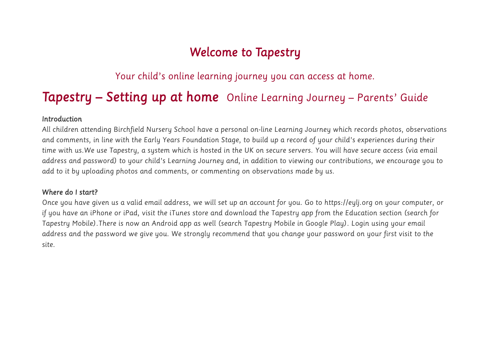# *Welcome to Tapestry*

*Your child's online learning journey you can access at home.* 

# *Tapestry – Setting up at home Online Learning Journey – Parents' Guide*

### *Introduction*

*All children attending Birchfield Nursery School have a personal on-line Learning Journey which records photos, observations and comments, in line with the Early Years Foundation Stage, to build up a record of your child's experiences during their time with us.We use Tapestry, a system which is hosted in the UK on secure servers. You will have secure access (via email address and password) to your child's Learning Journey and, in addition to viewing our contributions, we encourage you to add to it by uploading photos and comments, or commenting on observations made by us.*

## *Where do I start?*

*Once you have given us a valid email address, we will set up an account for you. Go to https://eylj.org on your computer, or if you have an iPhone or iPad, visit the iTunes store and download the Tapestry app from the Education section (search for Tapestry Mobile).There is now an Android app as well (search Tapestry Mobile in Google Play). Login using your email address and the password we give you. We strongly recommend that you change your password on your first visit to the site.*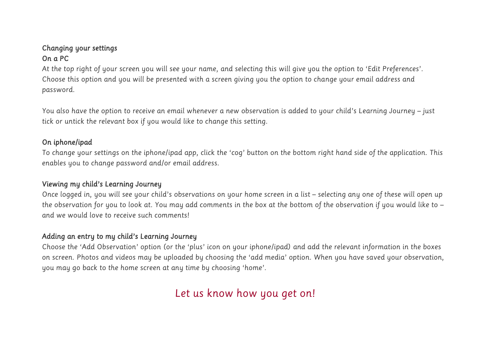# *Changing your settings On a PC*

*At the top right of your screen you will see your name, and selecting this will give you the option to 'Edit Preferences'. Choose this option and you will be presented with a screen giving you the option to change your email address and password.*

*You also have the option to receive an email whenever a new observation is added to your child's Learning Journey – just tick or untick the relevant box if you would like to change this setting.*

## *On iphone/ipad*

*To change your settings on the iphone/ipad app, click the 'cog' button on the bottom right hand side of the application. This enables you to change password and/or email address.*

## *Viewing my child's Learning Journey*

*Once logged in, you will see your child's observations on your home screen in a list – selecting any one of these will open up the observation for you to look at. You may add comments in the box at the bottom of the observation if you would like to – and we would love to receive such comments!*

# *Adding an entry to my child's Learning Journey*

*Choose the 'Add Observation' option (or the 'plus' icon on your iphone/ipad) and add the relevant information in the boxes on screen. Photos and videos may be uploaded by choosing the 'add media' option. When you have saved your observation, you may go back to the home screen at any time by choosing 'home'.*

# *Let us know how you get on!*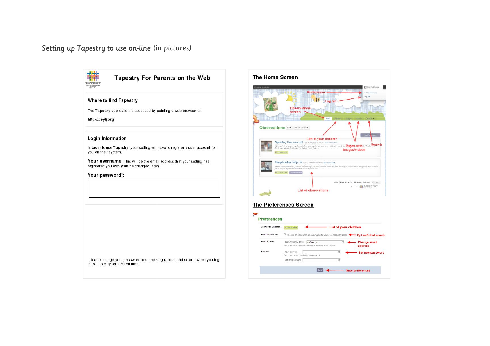### *Setting up Tapestry to use on-line (in pictures)*



Butterband ...

Search

address

**DR Producers Contract**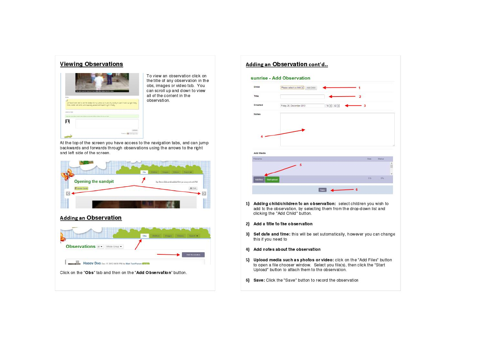#### **Viewing Observations**



To view an observation click on the title of any observation in the obs, images or video tab. You can scroll up and down to view all of the content in the observation.

At the top of the screen you have access to the navigation tabs, and can jump backwards and forwards through observations using the arrows to the right and left side of the screen.









- clicking the "Add Child" button.
- 2) Add a title to the observation
- 3) Set date and time: this will be set automatically, however you can change this if you need to
- 4) Add notes about the observation
- 5) Upload media such as photos or video: click on the "Add Files" button to open a file chooser window. Select you file(s), then click the "Start Upload" button to attach them to the observation.
- 6) Save: Click the "Save" button to record the observation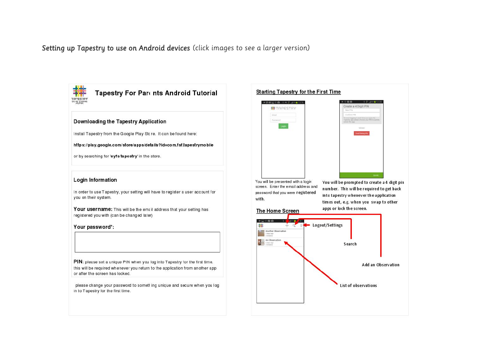*Setting up Tapestry to use on Android devices (click images to see a larger version)* 



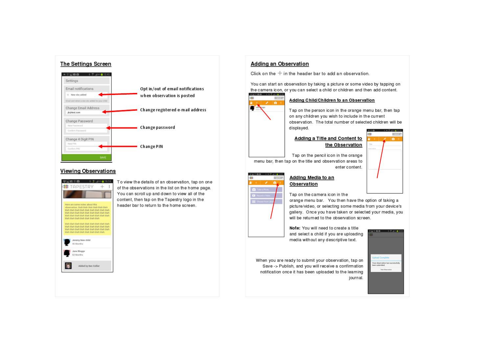

#### **Viewing Observations**



To view the details of an observation, tap on one of the observations in the list on the home page. You can scroll up and down to view all of the content, then tap on the Tapestry logo in the header bar to return to the home screen.

#### **Adding an Observation**

Click on the  $+$  in the header bar to add an observation.

You can start an observation by taking a picture or some video by tapping on the camera icon, or you can select a child or children and then add content. → 安全資格 → 中央 - 中国246



#### Adding Child/Children to an Observation

Tap on the person icon in the orange menu bar, then tap on any children you wish to include in the current observation. The total number of selected children will be displayed.

#### Adding a Title and Content to the Observation



Tap on the pencil icon in the orange menu bar, then tap on the title and observation areas to enter content.

**Observation** 

Adding Media to an



**DAVI** 

o.

#### Tap on the camera icon in the

orange menu bar. You then have the option of taking a picture/video, or selecting some media from your device's gallery. Once you have taken or selected your media, you will be returned to the observation screen.

Note: You will need to create a title and select a child if you are uploading media without any descriptive text.

When you are ready to submit your observation, tap on Save -> Publish, and you will receive a confirmation notification once it has been uploaded to the learning journal.

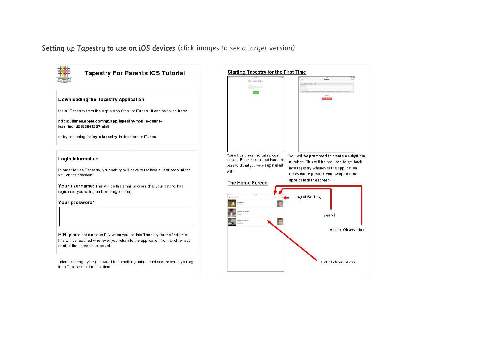*Setting up Tapestry to use on iOS devices (click images to see a larger version)*